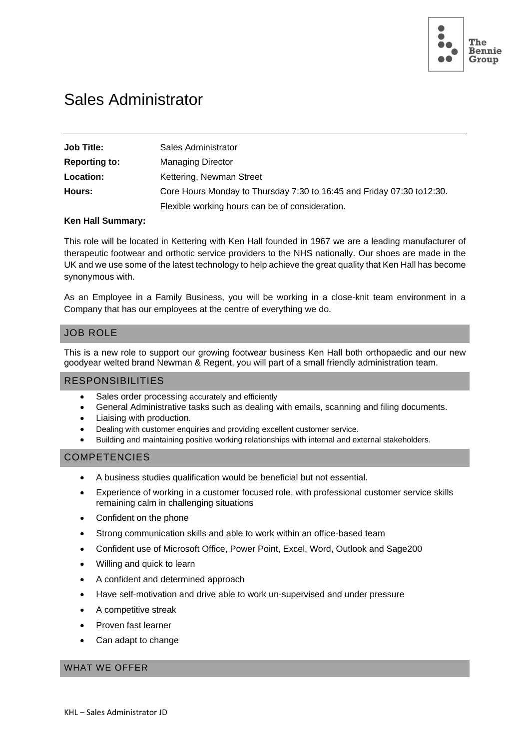

# Sales Administrator

| <b>Job Title:</b>    | Sales Administrator                                                    |
|----------------------|------------------------------------------------------------------------|
| <b>Reporting to:</b> | <b>Managing Director</b>                                               |
| Location:            | Kettering, Newman Street                                               |
| Hours:               | Core Hours Monday to Thursday 7:30 to 16:45 and Friday 07:30 to 12:30. |
|                      | Flexible working hours can be of consideration.                        |

## **Ken Hall Summary:**

This role will be located in Kettering with Ken Hall founded in 1967 we are a leading manufacturer of therapeutic footwear and orthotic service providers to the NHS nationally. Our shoes are made in the UK and we use some of the latest technology to help achieve the great quality that Ken Hall has become synonymous with.

As an Employee in a Family Business, you will be working in a close-knit team environment in a Company that has our employees at the centre of everything we do.

## JOB ROLE

This is a new role to support our growing footwear business Ken Hall both orthopaedic and our new goodyear welted brand Newman & Regent, you will part of a small friendly administration team.

## RESPONSIBILITIES

- Sales order processing accurately and efficiently
- General Administrative tasks such as dealing with emails, scanning and filing documents.
- Liaising with production.
- Dealing with customer enquiries and providing excellent customer service.
- Building and maintaining positive working relationships with internal and external stakeholders.

#### **COMPETENCIES**

- A business studies qualification would be beneficial but not essential.
- Experience of working in a customer focused role, with professional customer service skills remaining calm in challenging situations
- Confident on the phone
- Strong communication skills and able to work within an office-based team
- Confident use of Microsoft Office, Power Point, Excel, Word, Outlook and Sage200
- Willing and quick to learn
- A confident and determined approach
- Have self-motivation and drive able to work un-supervised and under pressure
- A competitive streak
- Proven fast learner
- Can adapt to change

## WHAT WE OFFER